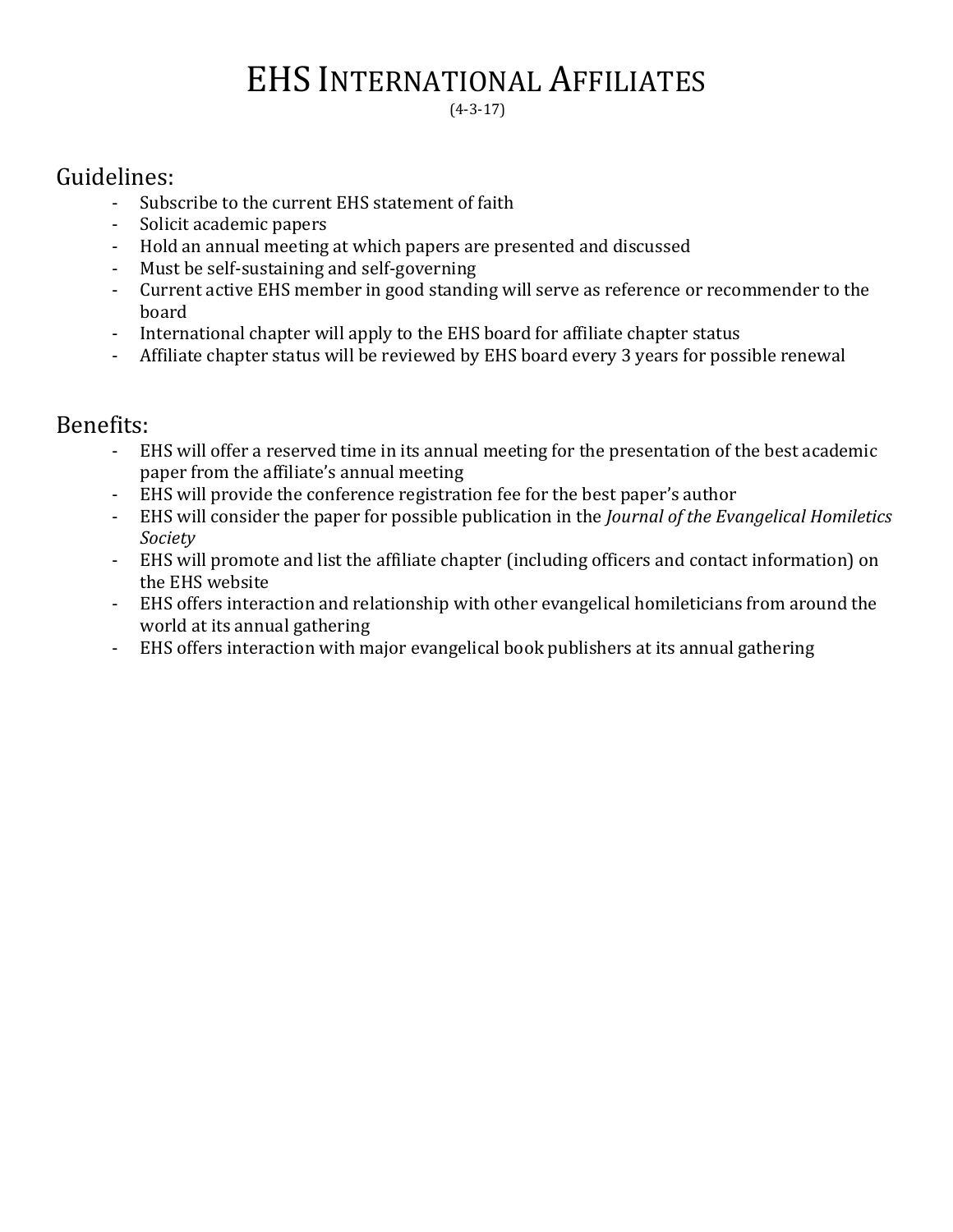## EHS INTERNATIONAL AFFILIATES

(4-3-17)

## Guidelines:

- Subscribe to the current EHS statement of faith
- Solicit academic papers
- Hold an annual meeting at which papers are presented and discussed
- Must be self-sustaining and self-governing
- Current active EHS member in good standing will serve as reference or recommender to the board
- International chapter will apply to the EHS board for affiliate chapter status
- Affiliate chapter status will be reviewed by EHS board every 3 years for possible renewal

## Benefits:

- EHS will offer a reserved time in its annual meeting for the presentation of the best academic paper from the affiliate's annual meeting
- EHS will provide the conference registration fee for the best paper's author
- EHS will consider the paper for possible publication in the *Journal of the Evangelical Homiletics Society*
- EHS will promote and list the affiliate chapter (including officers and contact information) on the EHS website
- EHS offers interaction and relationship with other evangelical homileticians from around the world at its annual gathering
- EHS offers interaction with major evangelical book publishers at its annual gathering